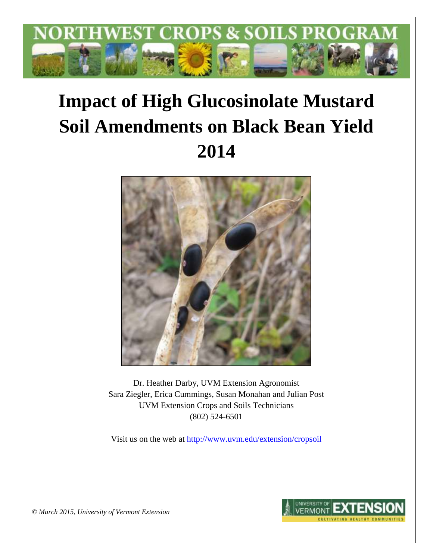

# **Impact of High Glucosinolate Mustard Soil Amendments on Black Bean Yield 2014**



Dr. Heather Darby, UVM Extension Agronomist Sara Ziegler, Erica Cummings, Susan Monahan and Julian Post UVM Extension Crops and Soils Technicians (802) 524-6501

Visit us on the web at <http://www.uvm.edu/extension/cropsoil>



*© March 2015, University of Vermont Extension*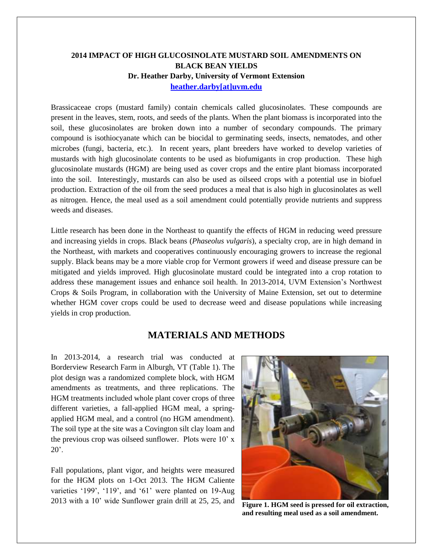### **2014 IMPACT OF HIGH GLUCOSINOLATE MUSTARD SOIL AMENDMENTS ON BLACK BEAN YIELDS Dr. Heather Darby, University of Vermont Extension [heather.darby\[at\]uvm.edu](mailto:heather.darby@uvm.edu?subject=2013%20HGM%20Black%20Bean%20Trial)**

Brassicaceae crops (mustard family) contain chemicals called glucosinolates. These compounds are present in the leaves, stem, roots, and seeds of the plants. When the plant biomass is incorporated into the soil, these glucosinolates are broken down into a number of secondary compounds. The primary compound is isothiocyanate which can be biocidal to germinating seeds, insects, nematodes, and other microbes (fungi, bacteria, etc.). In recent years, plant breeders have worked to develop varieties of mustards with high glucosinolate contents to be used as biofumigants in crop production. These high glucosinolate mustards (HGM) are being used as cover crops and the entire plant biomass incorporated into the soil. Interestingly, mustards can also be used as oilseed crops with a potential use in biofuel production. Extraction of the oil from the seed produces a meal that is also high in glucosinolates as well as nitrogen. Hence, the meal used as a soil amendment could potentially provide nutrients and suppress weeds and diseases.

Little research has been done in the Northeast to quantify the effects of HGM in reducing weed pressure and increasing yields in crops. Black beans (*Phaseolus vulgaris*), a specialty crop, are in high demand in the Northeast, with markets and cooperatives continuously encouraging growers to increase the regional supply. Black beans may be a more viable crop for Vermont growers if weed and disease pressure can be mitigated and yields improved. High glucosinolate mustard could be integrated into a crop rotation to address these management issues and enhance soil health. In 2013-2014, UVM Extension's Northwest Crops & Soils Program, in collaboration with the University of Maine Extension, set out to determine whether HGM cover crops could be used to decrease weed and disease populations while increasing yields in crop production.

# **MATERIALS AND METHODS**

In 2013-2014, a research trial was conducted at Borderview Research Farm in Alburgh, VT (Table 1). The plot design was a randomized complete block, with HGM amendments as treatments, and three replications. The HGM treatments included whole plant cover crops of three different varieties, a fall-applied HGM meal, a springapplied HGM meal, and a control (no HGM amendment). The soil type at the site was a Covington silt clay loam and the previous crop was oilseed sunflower. Plots were 10' x  $20^\circ$ .

Fall populations, plant vigor, and heights were measured for the HGM plots on 1-Oct 2013. The HGM Caliente varieties '199', '119', and '61' were planted on 19-Aug <sup>2013</sup> with a 10' wide Sunflower grain drill at 25, 25, and **Figure 1. HGM seed is pressed for oil extraction,** 



**and resulting meal used as a soil amendment.**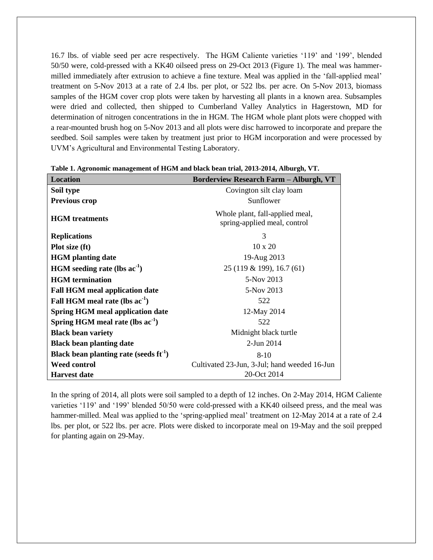16.7 lbs. of viable seed per acre respectively. The HGM Caliente varieties '119' and '199', blended 50/50 were, cold-pressed with a KK40 oilseed press on 29-Oct 2013 (Figure 1). The meal was hammermilled immediately after extrusion to achieve a fine texture. Meal was applied in the 'fall-applied meal' treatment on 5-Nov 2013 at a rate of 2.4 lbs. per plot, or 522 lbs. per acre. On 5-Nov 2013, biomass samples of the HGM cover crop plots were taken by harvesting all plants in a known area. Subsamples were dried and collected, then shipped to Cumberland Valley Analytics in Hagerstown, MD for determination of nitrogen concentrations in the in HGM. The HGM whole plant plots were chopped with a rear-mounted brush hog on 5-Nov 2013 and all plots were disc harrowed to incorporate and prepare the seedbed. Soil samples were taken by treatment just prior to HGM incorporation and were processed by UVM's Agricultural and Environmental Testing Laboratory.

| <b>Location</b>                             | <b>Borderview Research Farm - Alburgh, VT</b>                   |  |  |
|---------------------------------------------|-----------------------------------------------------------------|--|--|
| Soil type                                   | Covington silt clay loam                                        |  |  |
| <b>Previous crop</b>                        | Sunflower                                                       |  |  |
| <b>HGM</b> treatments                       | Whole plant, fall-applied meal,<br>spring-applied meal, control |  |  |
| <b>Replications</b>                         | 3                                                               |  |  |
| Plot size (ft)                              | $10 \times 20$                                                  |  |  |
| <b>HGM</b> planting date                    | 19-Aug 2013                                                     |  |  |
| $HGM$ seeding rate (lbs $ac-1$ )            | 25 (119 & 199), 16.7 (61)                                       |  |  |
| <b>HGM</b> termination                      | 5-Nov 2013                                                      |  |  |
| <b>Fall HGM meal application date</b>       | 5-Nov 2013                                                      |  |  |
| Fall HGM meal rate (lbs ac <sup>-1</sup> )  | 522                                                             |  |  |
| <b>Spring HGM meal application date</b>     | 12-May 2014                                                     |  |  |
| Spring HGM meal rate (lbs $ac^{-1}$ )       | 522                                                             |  |  |
| <b>Black bean variety</b>                   | Midnight black turtle                                           |  |  |
| <b>Black bean planting date</b>             | $2$ -Jun $2014$                                                 |  |  |
| Black bean planting rate (seeds $ft^{-1}$ ) | $8-10$                                                          |  |  |
| <b>Weed control</b>                         | Cultivated 23-Jun, 3-Jul; hand weeded 16-Jun                    |  |  |
| <b>Harvest date</b>                         | 20-Oct 2014                                                     |  |  |

**Table 1. Agronomic management of HGM and black bean trial, 2013-2014, Alburgh, VT.**

In the spring of 2014, all plots were soil sampled to a depth of 12 inches. On 2-May 2014, HGM Caliente varieties '119' and '199' blended 50/50 were cold-pressed with a KK40 oilseed press, and the meal was hammer-milled. Meal was applied to the 'spring-applied meal' treatment on 12-May 2014 at a rate of 2.4 lbs. per plot, or 522 lbs. per acre. Plots were disked to incorporate meal on 19-May and the soil prepped for planting again on 29-May.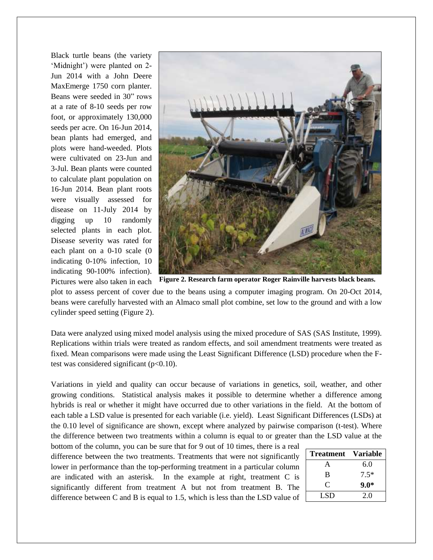Black turtle beans (the variety 'Midnight') were planted on 2- Jun 2014 with a John Deere MaxEmerge 1750 corn planter. Beans were seeded in 30" rows at a rate of 8-10 seeds per row foot, or approximately 130,000 seeds per acre. On 16-Jun 2014, bean plants had emerged, and plots were hand-weeded. Plots were cultivated on 23-Jun and 3-Jul. Bean plants were counted to calculate plant population on 16-Jun 2014. Bean plant roots were visually assessed for disease on 11-July 2014 by digging up 10 randomly selected plants in each plot. Disease severity was rated for each plant on a 0-10 scale (0 indicating 0-10% infection, 10 indicating 90-100% infection). Pictures were also taken in each



**Figure 2. Research farm operator Roger Rainville harvests black beans.**

plot to assess percent of cover due to the beans using a computer imaging program. On 20-Oct 2014, beans were carefully harvested with an Almaco small plot combine, set low to the ground and with a low cylinder speed setting (Figure 2).

Data were analyzed using mixed model analysis using the mixed procedure of SAS (SAS Institute, 1999). Replications within trials were treated as random effects, and soil amendment treatments were treated as fixed. Mean comparisons were made using the Least Significant Difference (LSD) procedure when the Ftest was considered significant  $(p<0.10)$ .

Variations in yield and quality can occur because of variations in genetics, soil, weather, and other growing conditions. Statistical analysis makes it possible to determine whether a difference among hybrids is real or whether it might have occurred due to other variations in the field. At the bottom of each table a LSD value is presented for each variable (i.e. yield). Least Significant Differences (LSDs) at the 0.10 level of significance are shown, except where analyzed by pairwise comparison (t-test). Where the difference between two treatments within a column is equal to or greater than the LSD value at the

bottom of the column, you can be sure that for 9 out of 10 times, there is a real difference between the two treatments. Treatments that were not significantly lower in performance than the top-performing treatment in a particular column are indicated with an asterisk. In the example at right, treatment C is significantly different from treatment A but not from treatment B. The difference between C and B is equal to 1.5, which is less than the LSD value of

| <b>Treatment</b> | <b>Variable</b> |
|------------------|-----------------|
| Ą                | 6.0             |
| B                | $7.5*$          |
| C                | $9.0*$          |
| LSD.             | 2.0             |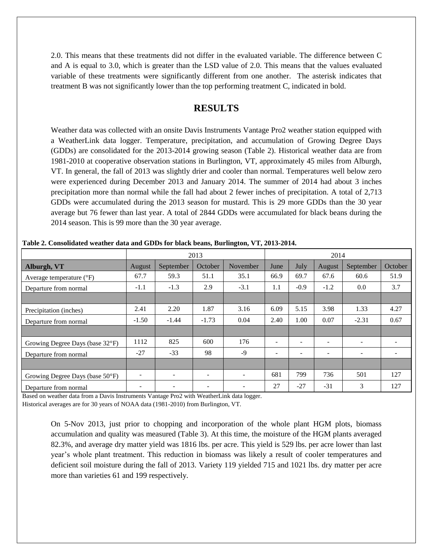2.0. This means that these treatments did not differ in the evaluated variable. The difference between C and A is equal to 3.0, which is greater than the LSD value of 2.0. This means that the values evaluated variable of these treatments were significantly different from one another. The asterisk indicates that treatment B was not significantly lower than the top performing treatment C, indicated in bold.

# **RESULTS**

Weather data was collected with an onsite Davis Instruments Vantage Pro2 weather station equipped with a WeatherLink data logger. Temperature, precipitation, and accumulation of Growing Degree Days (GDDs) are consolidated for the 2013-2014 growing season (Table 2). Historical weather data are from 1981-2010 at cooperative observation stations in Burlington, VT, approximately 45 miles from Alburgh, VT. In general, the fall of 2013 was slightly drier and cooler than normal. Temperatures well below zero were experienced during December 2013 and January 2014. The summer of 2014 had about 3 inches precipitation more than normal while the fall had about 2 fewer inches of precipitation. A total of 2,713 GDDs were accumulated during the 2013 season for mustard. This is 29 more GDDs than the 30 year average but 76 fewer than last year. A total of 2844 GDDs were accumulated for black beans during the 2014 season. This is 99 more than the 30 year average.

|                                 |         | 2013<br>2014             |                          |                          |                          |                          |        |                          |         |
|---------------------------------|---------|--------------------------|--------------------------|--------------------------|--------------------------|--------------------------|--------|--------------------------|---------|
| Alburgh, VT                     | August  | September                | October                  | November                 | June                     | July                     | August | September                | October |
| Average temperature (°F)        | 67.7    | 59.3                     | 51.1                     | 35.1                     | 66.9                     | 69.7                     | 67.6   | 60.6                     | 51.9    |
| Departure from normal           | $-1.1$  | $-1.3$                   | 2.9                      | $-3.1$                   | 1.1                      | $-0.9$                   | $-1.2$ | 0.0                      | 3.7     |
|                                 |         |                          |                          |                          |                          |                          |        |                          |         |
| Precipitation (inches)          | 2.41    | 2.20                     | 1.87                     | 3.16                     | 6.09                     | 5.15                     | 3.98   | 1.33                     | 4.27    |
| Departure from normal           | $-1.50$ | $-1.44$                  | $-1.73$                  | 0.04                     | 2.40                     | 1.00                     | 0.07   | $-2.31$                  | 0.67    |
|                                 |         |                          |                          |                          |                          |                          |        |                          |         |
| Growing Degree Days (base 32°F) | 1112    | 825                      | 600                      | 176                      | $\overline{\phantom{0}}$ | $\overline{\phantom{a}}$ |        | $\overline{\phantom{0}}$ |         |
| Departure from normal           | $-27$   | $-33$                    | 98                       | $-9$                     |                          | ۰                        |        |                          |         |
|                                 |         |                          |                          |                          |                          |                          |        |                          |         |
| Growing Degree Days (base 50°F) | -       | $\overline{\phantom{a}}$ | $\overline{\phantom{a}}$ | $\overline{\phantom{a}}$ | 681                      | 799                      | 736    | 501                      | 127     |
| Departure from normal           |         |                          |                          |                          | 27                       | $-27$                    | $-31$  | 3                        | 127     |

**Table 2. Consolidated weather data and GDDs for black beans, Burlington, VT, 2013-2014.**

Based on weather data from a Davis Instruments Vantage Pro2 with WeatherLink data logger.

Historical averages are for 30 years of NOAA data (1981-2010) from Burlington, VT.

On 5-Nov 2013, just prior to chopping and incorporation of the whole plant HGM plots, biomass accumulation and quality was measured (Table 3). At this time, the moisture of the HGM plants averaged 82.3%, and average dry matter yield was 1816 lbs. per acre. This yield is 529 lbs. per acre lower than last year's whole plant treatment. This reduction in biomass was likely a result of cooler temperatures and deficient soil moisture during the fall of 2013. Variety 119 yielded 715 and 1021 lbs. dry matter per acre more than varieties 61 and 199 respectively.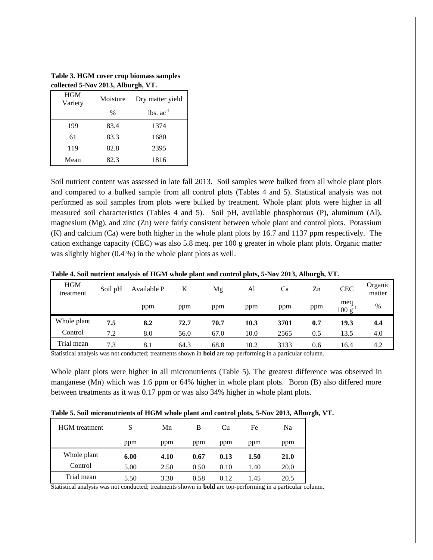| Concetted 3-190 $\theta$ 2013, Alburgh, $\theta$ 1. |          |                                |  |  |  |
|-----------------------------------------------------|----------|--------------------------------|--|--|--|
| <b>HGM</b><br>Variety                               | Moisture | Dry matter yield               |  |  |  |
|                                                     | $\%$     | $\text{lbs.}$ $\text{ac}^{-1}$ |  |  |  |
| 199                                                 | 83.4     | 1374                           |  |  |  |
| 61                                                  | 83.3     | 1680                           |  |  |  |
| 119                                                 | 82.8     | 2395                           |  |  |  |
| Mean                                                | 82.3     | 1816                           |  |  |  |

**Table 3. HGM cover crop biomass samples collected 5-Nov 2013, Alburgh, VT.**

Soil nutrient content was assessed in late fall 2013. Soil samples were bulked from all whole plant plots and compared to a bulked sample from all control plots (Tables 4 and 5). Statistical analysis was not performed as soil samples from plots were bulked by treatment. Whole plant plots were higher in all measured soil characteristics (Tables 4 and 5). Soil pH, available phosphorous (P), aluminum (Al), magnesium (Mg), and zinc (Zn) were fairly consistent between whole plant and control plots. Potassium (K) and calcium (Ca) were both higher in the whole plant plots by 16.7 and 1137 ppm respectively. The cation exchange capacity (CEC) was also 5.8 meq. per 100 g greater in whole plant plots. Organic matter was slightly higher (0.4 %) in the whole plant plots as well.

|                         |         |             | -    |      |      |      |     |                     |                   |
|-------------------------|---------|-------------|------|------|------|------|-----|---------------------|-------------------|
| <b>HGM</b><br>treatment | Soil pH | Available P | K    | Mg   | Al   | Ca   | Zn  | <b>CEC</b>          | Organic<br>matter |
|                         |         | ppm         | ppm  | ppm  | ppm  | ppm  | ppm | meq<br>$100 g^{-1}$ | $\%$              |
| Whole plant             | 7.5     | 8.2         | 72.7 | 70.7 | 10.3 | 3701 | 0.7 | 19.3                | 4.4               |
| Control                 | 7.2     | 8.0         | 56.0 | 67.0 | 10.0 | 2565 | 0.5 | 13.5                | 4.0               |
| Trial mean              | 7.3     | 8.1         | 64.3 | 68.8 | 10.2 | 3133 | 0.6 | 16.4                | 4.2               |

**Table 4. Soil nutrient analysis of HGM whole plant and control plots, 5-Nov 2013, Alburgh, VT.**

Statistical analysis was not conducted; treatments shown in **bold** are top-performing in a particular column.

Whole plant plots were higher in all micronutrients (Table 5). The greatest difference was observed in manganese (Mn) which was 1.6 ppm or 64% higher in whole plant plots. Boron (B) also differed more between treatments as it was 0.17 ppm or was also 34% higher in whole plant plots.

| Table 5. Soil micronutrients of HGM whole plant and control plots, 5-Nov 2013, Alburgh, VT. |  |  |  |
|---------------------------------------------------------------------------------------------|--|--|--|
|---------------------------------------------------------------------------------------------|--|--|--|

| <b>HGM</b> treatment |      | Mn   | в    | Сu   | Fe   | Na   |
|----------------------|------|------|------|------|------|------|
|                      | ppm  | ppm  | ppm  | ppm  | ppm  | ppm  |
| Whole plant          | 6.00 | 4.10 | 0.67 | 0.13 | 1.50 | 21.0 |
| Control              | 5.00 | 2.50 | 0.50 | 0.10 | 1.40 | 20.0 |
| Trial mean           | 5.50 | 3.30 | 0.58 | 0.12 | 1.45 | 20.5 |

Statistical analysis was not conducted; treatments shown in **bold** are top-performing in a particular column.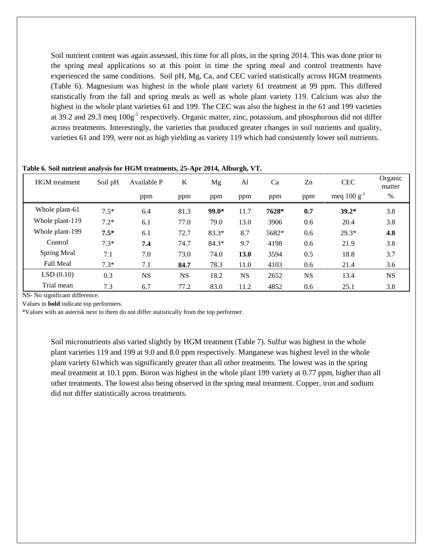Soil nutrient content was again assessed, this time for all plots, in the spring 2014. This was done prior to the spring meal applications so at this point in time the spring meal and control treatments have experienced the same conditions. Soil pH, Mg, Ca, and CEC varied statistically across HGM treatments (Table 6). Magnesium was highest in the whole plant variety 61 treatment at 99 ppm. This differed statistically from the fall and spring meals as well as whole plant variety 119. Calcium was also the highest in the whole plant varieties 61 and 199. The CEC was also the highest in the 61 and 199 varieties at 39.2 and 29.3 meq  $100g<sup>-1</sup>$  respectively. Organic matter, zinc, potassium, and phosphorous did not differ across treatments. Interestingly, the varieties that produced greater changes in soil nutrients and quality, varieties 61 and 199, were not as high yielding as variety 119 which had consistently lower soil nutrients.

| <b>HGM</b> treatment | Soil pH | Available P | K         | Mg      | Al        | Ca    | Zn        | <b>CEC</b>       | Organic<br>matter |
|----------------------|---------|-------------|-----------|---------|-----------|-------|-----------|------------------|-------------------|
|                      |         | ppm         | ppm       | ppm     | ppm       | ppm   | ppm       | meq $100 g^{-1}$ | %                 |
| Whole plant-61       | $7.5*$  | 6.4         | 81.3      | $99.0*$ | 11.7      | 7628* | 0.7       | $39.2*$          | 3.8               |
| Whole plant-119      | $7.2*$  | 6.1         | 77.0      | 79.0    | 13.0      | 3906  | 0.6       | 20.4             | 3.8               |
| Whole plant-199      | $7.5*$  | 6.1         | 72.7      | $83.3*$ | 8.7       | 5682* | 0.6       | $29.3*$          | 4.0               |
| Control              | $7.3*$  | 7.4         | 74.7      | $84.3*$ | 9.7       | 4198  | 0.6       | 21.9             | 3.8               |
| Spring Meal          | 7.1     | 7.0         | 73.0      | 74.0    | 13.0      | 3594  | 0.5       | 18.8             | 3.7               |
| <b>Fall Meal</b>     | $7.3*$  | 7.1         | 84.7      | 78.3    | 11.0      | 4103  | 0.6       | 21.4             | 3.6               |
| LSD(0.10)            | 0.3     | <b>NS</b>   | <b>NS</b> | 18.2    | <b>NS</b> | 2652  | <b>NS</b> | 13.4             | <b>NS</b>         |
| Trial mean           | 7.3     | 6.7         | 77.2      | 83.0    | 11.2      | 4852  | 0.6       | 25.1             | 3.8               |

**Table 6. Soil nutrient analysis for HGM treatments, 25-Apr 2014, Alburgh, VT.**

NS- No significant difference.

Values in **bold** indicate top performers.

\*Values with an asterisk next to them do not differ statistically from the top performer.

Soil micronutrients also varied slightly by HGM treatment (Table 7). Sulfur was highest in the whole plant varieties 119 and 199 at 9.0 and 8.0 ppm respectively. Manganese was highest level in the whole plant variety 61which was significantly greater than all other treatments. The lowest was in the spring meal treatment at 10.1 ppm. Boron was highest in the whole plant 199 variety at 0.77 ppm, higher than all other treatments. The lowest also being observed in the spring meal treatment. Copper, iron and sodium did not differ statistically across treatments.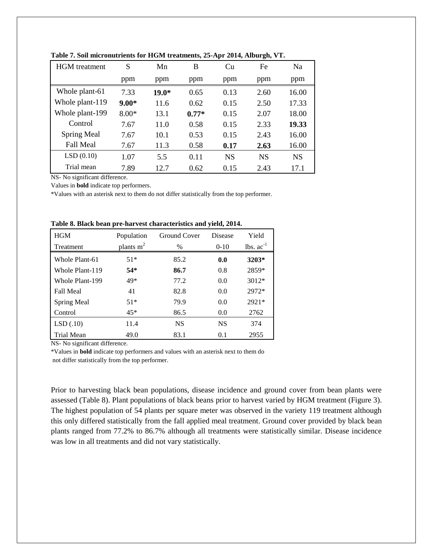| <b>HGM</b> treatment | S       | Mn      | B       | Cu        | Fe        | <b>Na</b> |
|----------------------|---------|---------|---------|-----------|-----------|-----------|
|                      | ppm     | ppm     | ppm     | ppm       | ppm       | ppm       |
| Whole plant-61       | 7.33    | $19.0*$ | 0.65    | 0.13      | 2.60      | 16.00     |
| Whole plant-119      | $9.00*$ | 11.6    | 0.62    | 0.15      | 2.50      | 17.33     |
| Whole plant-199      | $8.00*$ | 13.1    | $0.77*$ | 0.15      | 2.07      | 18.00     |
| Control              | 7.67    | 11.0    | 0.58    | 0.15      | 2.33      | 19.33     |
| <b>Spring Meal</b>   | 7.67    | 10.1    | 0.53    | 0.15      | 2.43      | 16.00     |
| <b>Fall Meal</b>     | 7.67    | 11.3    | 0.58    | 0.17      | 2.63      | 16.00     |
| LSD(0.10)            | 1.07    | 5.5     | 0.11    | <b>NS</b> | <b>NS</b> | <b>NS</b> |
| Trial mean           | 7.89    | 12.7    | 0.62    | 0.15      | 2.43      | 17.1      |

**Table 7. Soil micronutrients for HGM treatments, 25-Apr 2014, Alburgh, VT.**

NS- No significant difference.

Values in **bold** indicate top performers.

\*Values with an asterisk next to them do not differ statistically from the top performer.

| <b>HGM</b>       | Population  | Ground Cover | Disease   | Yield          |
|------------------|-------------|--------------|-----------|----------------|
| <b>Treatment</b> | plants $m2$ | $\%$         | $0-10$    | $lbs. ac^{-1}$ |
| Whole Plant-61   | $51*$       | 85.2         | 0.0       | 3203*          |
| Whole Plant-119  | $54*$       | 86.7         | 0.8       | 2859*          |
| Whole Plant-199  | 49*         | 77.2         | 0.0       | $3012*$        |
| <b>Fall Meal</b> | 41          | 82.8         | 0.0       | 2972*          |
| Spring Meal      | $51*$       | 79.9         | 0.0       | $2921*$        |
| Control          | $45*$       | 86.5         | 0.0       | 2762           |
| LSD(.10)         | 11.4        | <b>NS</b>    | <b>NS</b> | 374            |
| Trial Mean       | 49.0        | 83.1         | 0.1       | 2955           |

|  | Table 8. Black bean pre-harvest characteristics and yield, 2014. |  |  |
|--|------------------------------------------------------------------|--|--|
|--|------------------------------------------------------------------|--|--|

NS- No significant difference.

\*Values in **bold** indicate top performers and values with an asterisk next to them do not differ statistically from the top performer.

Prior to harvesting black bean populations, disease incidence and ground cover from bean plants were assessed (Table 8). Plant populations of black beans prior to harvest varied by HGM treatment (Figure 3). The highest population of 54 plants per square meter was observed in the variety 119 treatment although this only differed statistically from the fall applied meal treatment. Ground cover provided by black bean plants ranged from 77.2% to 86.7% although all treatments were statistically similar. Disease incidence was low in all treatments and did not vary statistically.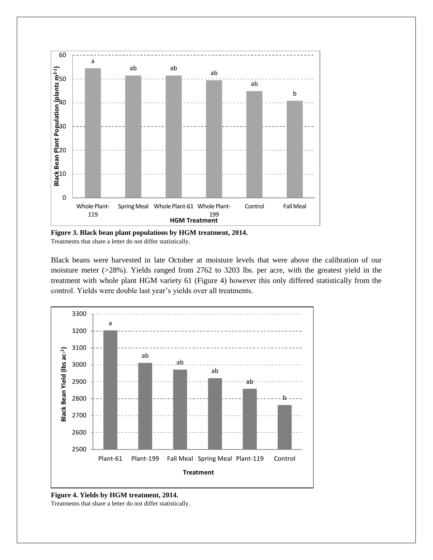

**Figure 3. Black bean plant populations by HGM treatment, 2014.** Treatments that share a letter do not differ statistically.

Black beans were harvested in late October at moisture levels that were above the calibration of our moisture meter (>28%). Yields ranged from 2762 to 3203 lbs. per acre, with the greatest yield in the treatment with whole plant HGM variety 61 (Figure 4) however this only differed statistically from the control. Yields were double last year's yields over all treatments.



**Figure 4. Yields by HGM treatment, 2014.**

Treatments that share a letter do not differ statistically.